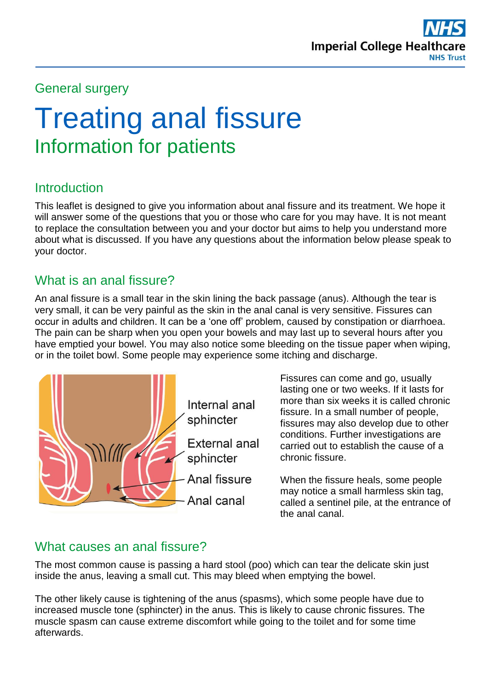

## General surgery

# Treating anal fissure Information for patients

# **Introduction**

This leaflet is designed to give you information about anal fissure and its treatment. We hope it will answer some of the questions that you or those who care for you may have. It is not meant to replace the consultation between you and your doctor but aims to help you understand more about what is discussed. If you have any questions about the information below please speak to your doctor.

# What is an anal fissure?

An anal fissure is a small tear in the skin lining the back passage (anus). Although the tear is very small, it can be very painful as the skin in the anal canal is very sensitive. Fissures can occur in adults and children. It can be a 'one off' problem, caused by constipation or diarrhoea. The pain can be sharp when you open your bowels and may last up to several hours after you have emptied your bowel. You may also notice some bleeding on the tissue paper when wiping, or in the toilet bowl. Some people may experience some itching and discharge.



Fissures can come and go, usually lasting one or two weeks. If it lasts for more than six weeks it is called chronic fissure. In a small number of people, fissures may also develop due to other conditions. Further investigations are carried out to establish the cause of a chronic fissure.

When the fissure heals, some people may notice a small harmless skin tag, called a sentinel pile, at the entrance of the anal canal.

# What causes an anal fissure?

The most common cause is passing a hard stool (poo) which can tear the delicate skin just inside the anus, leaving a small cut. This may bleed when emptying the bowel.

The other likely cause is tightening of the anus (spasms), which some people have due to increased muscle tone (sphincter) in the anus. This is likely to cause chronic fissures. The muscle spasm can cause extreme discomfort while going to the toilet and for some time afterwards.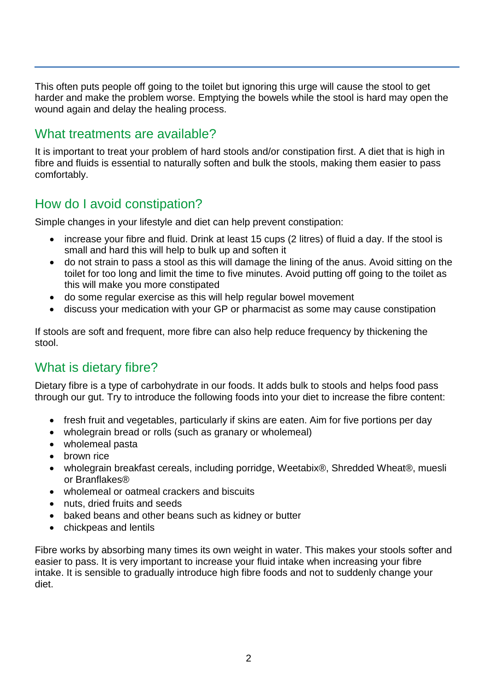This often puts people off going to the toilet but ignoring this urge will cause the stool to get harder and make the problem worse. Emptying the bowels while the stool is hard may open the wound again and delay the healing process.

# What treatments are available?

It is important to treat your problem of hard stools and/or constipation first. A diet that is high in fibre and fluids is essential to naturally soften and bulk the stools, making them easier to pass comfortably.

# How do I avoid constipation?

Simple changes in your lifestyle and diet can help prevent constipation:

- increase your fibre and fluid. Drink at least 15 cups (2 litres) of fluid a day. If the stool is small and hard this will help to bulk up and soften it
- do not strain to pass a stool as this will damage the lining of the anus. Avoid sitting on the toilet for too long and limit the time to five minutes. Avoid putting off going to the toilet as this will make you more constipated
- do some regular exercise as this will help regular bowel movement
- discuss your medication with your GP or pharmacist as some may cause constipation

If stools are soft and frequent, more fibre can also help reduce frequency by thickening the stool.

# What is dietary fibre?

Dietary fibre is a type of carbohydrate in our foods. It adds bulk to stools and helps food pass through our gut. Try to introduce the following foods into your diet to increase the fibre content:

- fresh fruit and vegetables, particularly if skins are eaten. Aim for five portions per day
- wholegrain bread or rolls (such as granary or wholemeal)
- wholemeal pasta
- brown rice
- wholegrain breakfast cereals, including porridge, Weetabix®, Shredded Wheat®, muesli or Branflakes®
- wholemeal or oatmeal crackers and biscuits
- nuts, dried fruits and seeds
- baked beans and other beans such as kidney or butter
- chickpeas and lentils

Fibre works by absorbing many times its own weight in water. This makes your stools softer and easier to pass. It is very important to increase your fluid intake when increasing your fibre intake. It is sensible to gradually introduce high fibre foods and not to suddenly change your diet.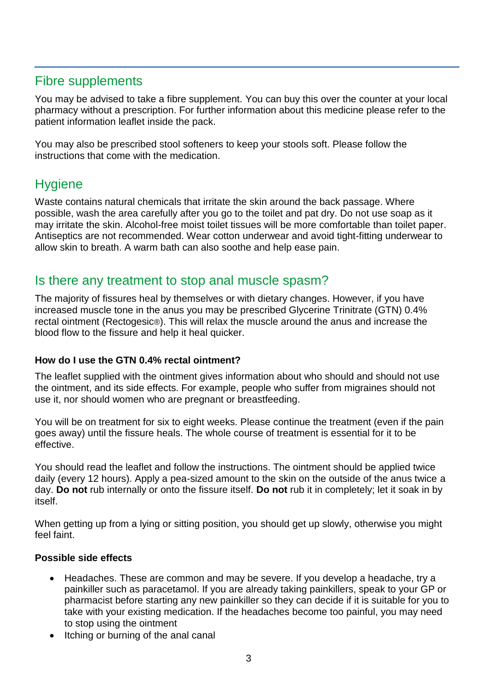# Fibre supplements

You may be advised to take a fibre supplement. You can buy this over the counter at your local pharmacy without a prescription. For further information about this medicine please refer to the patient information leaflet inside the pack.

You may also be prescribed stool softeners to keep your stools soft. Please follow the instructions that come with the medication.

# **Hygiene**

Waste contains natural chemicals that irritate the skin around the back passage. Where possible, wash the area carefully after you go to the toilet and pat dry. Do not use soap as it may irritate the skin. Alcohol-free moist toilet tissues will be more comfortable than toilet paper. Antiseptics are not recommended. Wear cotton underwear and avoid tight-fitting underwear to allow skin to breath. A warm bath can also soothe and help ease pain.

### Is there any treatment to stop anal muscle spasm?

The majority of fissures heal by themselves or with dietary changes. However, if you have increased muscle tone in the anus you may be prescribed Glycerine Trinitrate (GTN) 0.4% rectal ointment (Rectogesic®). This will relax the muscle around the anus and increase the blood flow to the fissure and help it heal quicker.

#### **How do I use the GTN 0.4% rectal ointment?**

The leaflet supplied with the ointment gives information about who should and should not use the ointment, and its side effects. For example, people who suffer from migraines should not use it, nor should women who are pregnant or breastfeeding.

You will be on treatment for six to eight weeks. Please continue the treatment (even if the pain goes away) until the fissure heals. The whole course of treatment is essential for it to be effective.

You should read the leaflet and follow the instructions. The ointment should be applied twice daily (every 12 hours). Apply a pea-sized amount to the skin on the outside of the anus twice a day. **Do not** rub internally or onto the fissure itself. **Do not** rub it in completely; let it soak in by itself.

When getting up from a lying or sitting position, you should get up slowly, otherwise you might feel faint.

#### **Possible side effects**

- Headaches. These are common and may be severe. If you develop a headache, try a painkiller such as paracetamol. If you are already taking painkillers, speak to your GP or pharmacist before starting any new painkiller so they can decide if it is suitable for you to take with your existing medication. If the headaches become too painful, you may need to stop using the ointment
- Itching or burning of the anal canal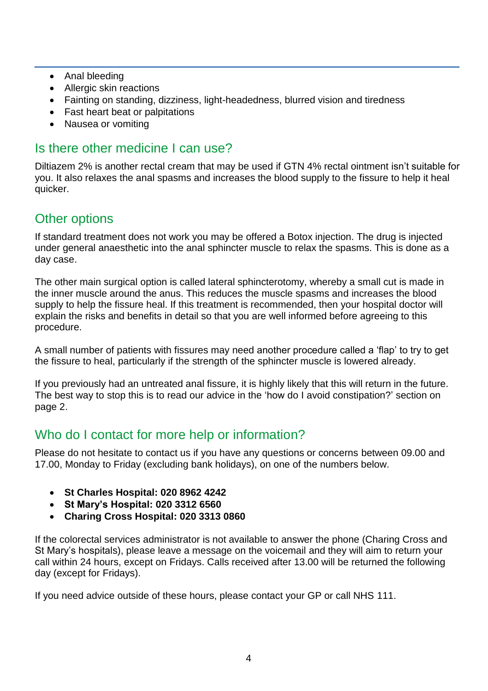- Anal bleeding
- Allergic skin reactions
- Fainting on standing, dizziness, light-headedness, blurred vision and tiredness
- Fast heart beat or palpitations
- Nausea or vomiting

# Is there other medicine I can use?

Diltiazem 2% is another rectal cream that may be used if GTN 4% rectal ointment isn't suitable for you. It also relaxes the anal spasms and increases the blood supply to the fissure to help it heal quicker.

# Other options

If standard treatment does not work you may be offered a Botox injection. The drug is injected under general anaesthetic into the anal sphincter muscle to relax the spasms. This is done as a day case.

The other main surgical option is called lateral sphincterotomy, whereby a small cut is made in the inner muscle around the anus. This reduces the muscle spasms and increases the blood supply to help the fissure heal. If this treatment is recommended, then your hospital doctor will explain the risks and benefits in detail so that you are well informed before agreeing to this procedure.

A small number of patients with fissures may need another procedure called a 'flap' to try to get the fissure to heal, particularly if the strength of the sphincter muscle is lowered already.

If you previously had an untreated anal fissure, it is highly likely that this will return in the future. The best way to stop this is to read our advice in the 'how do I avoid constipation?' section on page 2.

# Who do I contact for more help or information?

Please do not hesitate to contact us if you have any questions or concerns between 09.00 and 17.00, Monday to Friday (excluding bank holidays), on one of the numbers below.

- **St Charles Hospital: 020 8962 4242**
- **St Mary's Hospital: 020 3312 6560**
- **Charing Cross Hospital: 020 3313 0860**

If the colorectal services administrator is not available to answer the phone (Charing Cross and St Mary's hospitals), please leave a message on the voicemail and they will aim to return your call within 24 hours, except on Fridays. Calls received after 13.00 will be returned the following day (except for Fridays).

If you need advice outside of these hours, please contact your GP or call NHS 111.